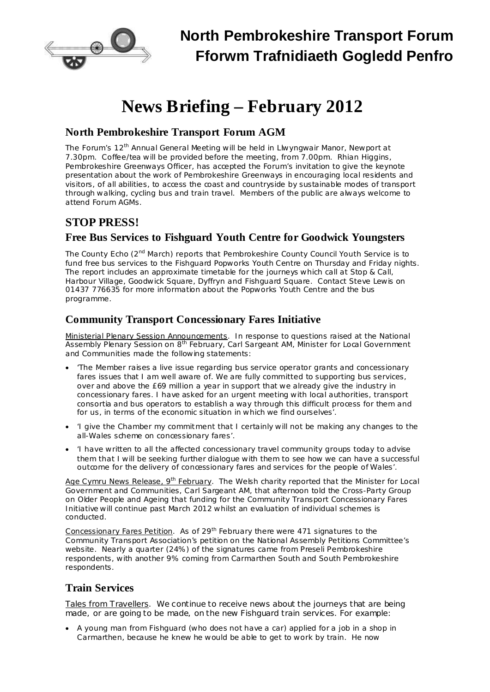

# **News Briefing – February 2012**

## **North Pembrokeshire Transport Forum AGM**

The Forum's 12<sup>th</sup> Annual General Meeting will be held in Llwyngwair Manor, Newport at 7.30pm. Coffee/tea will be provided before the meeting, from 7.00pm. Rhian Higgins, Pembrokeshire Greenways Officer, has accepted the Forum's invitation to give the keynote presentation about the work of Pembrokeshire Greenways in encouraging local residents and visitors, of all abilities, to access the coast and countryside by sustainable modes of transport through walking, cycling bus and train travel. Members of the public are always welcome to attend Forum AGMs.

## **STOP PRESS!**

## **Free Bus Services to Fishguard Youth Centre for Goodwick Youngsters**

*The County Echo* (2<sup>nd</sup> March) reports that Pembrokeshire County Council Youth Service is to fund free bus services to the Fishguard Popworks Youth Centre on Thursday and Friday nights. The report includes an approximate timetable for the journeys which call at Stop & Call, Harbour Village, Goodwick Square, Dyffryn and Fishguard Square. Contact Steve Lewis on 01437 776635 for more information about the Popworks Youth Centre and the bus programme.

## **Community Transport Concessionary Fares Initiative**

Ministerial Plenary Session Announcements. In response to questions raised at the National Assembly Plenary Session on 8<sup>th</sup> February, Carl Sargeant AM, Minister for Local Government and Communities made the following statements:

- · 'The Member raises a live issue regarding bus service operator grants and concessionary fares issues that I am well aware of. We are fully committed to supporting bus services, over and above the £69 million a year in support that we already give the industry in concessionary fares. I have asked for an urgent meeting with local authorities, transport consortia and bus operators to establish a way through this difficult process for them and for us, in terms of the economic situation in which we find ourselves'.
- · 'I give the Chamber my commitment that I certainly will not be making any changes to the all-Wales scheme on concessionary fares'.
- · 'I have written to all the affected concessionary travel community groups today to advise them that I will be seeking further dialogue with them to see how we can have a successful outcome for the delivery of concessionary fares and services for the people of Wales'.

<u>Age Cymru News Release, 9<sup>th</sup> February</u>. The Welsh charity reported that the Minister for Local Government and Communities, Carl Sargeant AM, that afternoon told the Cross-Party Group on Older People and Ageing that funding for the Community Transport Concessionary Fares Initiative will continue past March 2012 whilst an evaluation of individual schemes is conducted.

Concessionary Fares Petition. As of 29<sup>th</sup> February there were 471 signatures to the Community Transport Association's petition on the National Assembly Petitions Committee's website. Nearly a quarter (24%) of the signatures came from Preseli Pembrokeshire respondents, with another 9% coming from Carmarthen South and South Pembrokeshire respondents.

#### **Train Services**

Tales from Travellers. We continue to receive news about the journeys that are being made, or are going to be made, on the new Fishguard train services. For example:

· A young man from Fishguard (who does not have a car) applied for a job in a shop in Carmarthen, because he knew he would be able to get to work by train. He now